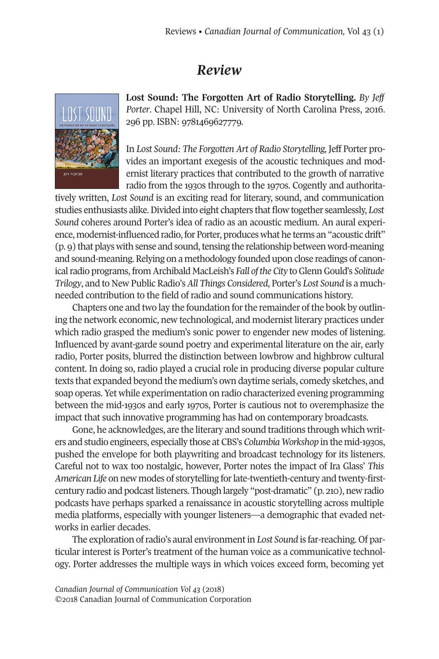## *Review*



**Lost Sound: The Forgotten Art of Radio Storytelling.** *By Jeff Porter*. Chapel Hill, NC: University of North Carolina Press, 2016. 296 pp. ISBN: 9781469627779.

In *Lost Sound: The Forgotten Art of Radio Storytelling,* Jeff Porter provides an important exegesis of the acoustic techniques and modernist literary practices that contributed to the growth of narrative radio from the 1930s through to the 1970s. Cogently and authorita-

tively written, *Lost Sound* is an exciting read for literary, sound, and communication studies enthusiasts alike.Divided into eight chapters that flow together seamlessly, *Lost Sound* coheres around Porter's idea of radio as an acoustic medium. An aural experience, modernist-influenced radio, for Porter, produces what he terms an "acoustic drift"  $(p, g)$  that plays with sense and sound, tensing the relationship between word-meaning and sound-meaning.Relying on a methodology founded upon close readings of canonical radio programs, from Archibald MacLeish's *Fall* of the City to Glenn Gould's Solitude *Trilogy*, and to New Public Radio's *All Things Considered*, Porter's *Lost Sound* is a muchneeded contribution to the field of radio and sound communications history.

Chapters one and two lay the foundation for the remainder of the book by outlining the network economic, new technological, and modernist literary practices under which radio grasped the medium's sonic power to engender new modes of listening. Influenced by avant-garde sound poetry and experimental literature on the air, early radio, Porter posits, blurred the distinction between lowbrow and highbrow cultural content. In doing so, radio played a crucial role in producing diverse popular culture texts that expanded beyond the medium's own daytime serials, comedy sketches, and soap operas. Yet while experimentation on radio characterized evening programming between the mid-1930s and early 1970s, Porter is cautious not to overemphasize the impact that such innovative programming has had on contemporary broadcasts.

Gone, he acknowledges, are the literary and sound traditions through which writers and studio engineers, especially those at CBS's *Columbia Workshop* in the mid-1930s, pushed the envelope for both playwriting and broadcast technology for its listeners. Careful not to wax too nostalgic, however, Porter notes the impact of Ira Glass' *This American Life* on new modes of storytelling forlate-twentieth-century and twenty-firstcentury radio and podcast listeners. Though largely "post-dramatic" (p. 210), new radio podcasts have perhaps sparked a renaissance in acoustic storytelling across multiple media platforms, especially with younger listeners—a demographic that evaded networks in earlier decades.

The exploration ofradio's aural environmentin *Lost Sound* is far-reaching. Of particular interest is Porter's treatment of the human voice as a communicative technology. Porter addresses the multiple ways in which voices exceed form, becoming yet

*Canadian Journal of [Communication](http://www.cjc-online.ca) Vol 43* (2018) ©2018 Canadian Journal of Communication Corporation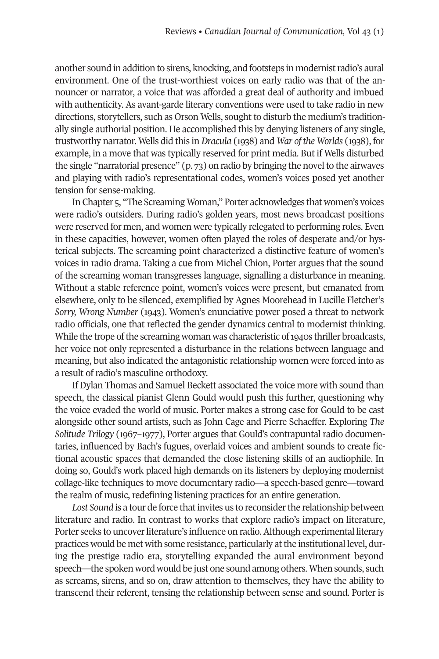another sound in addition to sirens, knocking, and footsteps in modernistradio's aural environment. One of the trust-worthiest voices on early radio was that of the announcer or narrator, a voice that was afforded a great deal of authority and imbued with authenticity. As avant-garde literary conventions were used to take radio in new directions, storytellers, such as Orson Wells, sought to disturb the medium's traditionally single authorial position. He accomplished this by denying listeners of any single, trustworthy narrator. Wells did this in *Dracula* (1938) and *War of the Worlds* (1938), for example, in a move that was typically reserved for print media. But if Wells disturbed the single "narratorial presence"  $(p, 73)$  on radio by bringing the novel to the airwaves and playing with radio's representational codes, women's voices posed yet another tension for sense-making.

In Chapter 5, "The Screaming Woman," Porter acknowledges that women's voices were radio's outsiders. During radio's golden years, most news broadcast positions were reserved for men, and women were typically relegated to performing roles. Even in these capacities, however, women often played the roles of desperate and/or hysterical subjects. The screaming point characterized a distinctive feature of women's voices in radio drama. Taking a cue from Michel Chion, Porter argues that the sound of the screaming woman transgresses language, signalling a disturbance in meaning. Without a stable reference point, women's voices were present, but emanated from elsewhere, only to be silenced, exemplified by Agnes Moorehead in Lucille Fletcher's *Sorry, Wrong Number* (1943). Women's enunciative power posed a threat to network radio officials, one that reflected the gender dynamics central to modernist thinking. While the trope of the screaming woman was characteristic of 1940s thriller broadcasts, her voice not only represented a disturbance in the relations between language and meaning, but also indicated the antagonistic relationship women were forced into as a result of radio's masculine orthodoxy.

If Dylan Thomas and Samuel Beckett associated the voice more with sound than speech, the classical pianist Glenn Gould would push this further, questioning why the voice evaded the world of music. Porter makes a strong case for Gould to be cast alongside other sound artists, such as John Cage and Pierre Schaeffer. Exploring *The Solitude Trilogy* (1967–1977), Porter argues that Gould's contrapuntal radio documentaries, influenced by Bach's fugues, overlaid voices and ambient sounds to create fictional acoustic spaces that demanded the close listening skills of an audiophile. In doing so, Gould's work placed high demands on its listeners by deploying modernist collage-like techniques to move documentary radio—a speech-based genre—toward the realm of music, redefining listening practices for an entire generation.

Lost Sound is a tour de force that invites us to reconsider the relationship between literature and radio. In contrast to works that explore radio's impact on literature, Porter seeks to uncover literature's influence on radio. Although experimental literary practices would be met with some resistance, particularly at the institutional level, during the prestige radio era, storytelling expanded the aural environment beyond speech—the spoken word would be just one sound among others. When sounds, such as screams, sirens, and so on, draw attention to themselves, they have the ability to transcend their referent, tensing the relationship between sense and sound. Porter is